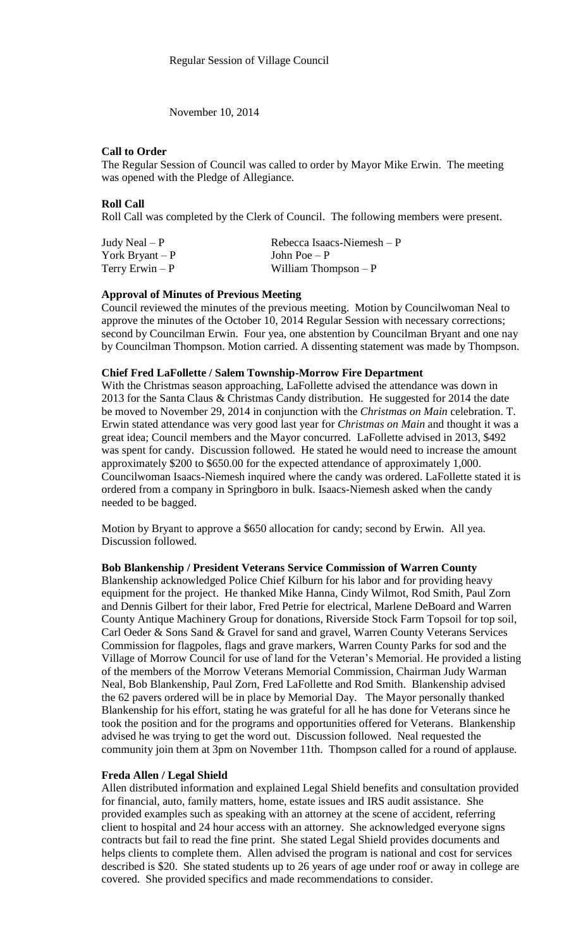November 10, 2014

# **Call to Order**

The Regular Session of Council was called to order by Mayor Mike Erwin. The meeting was opened with the Pledge of Allegiance.

**Roll Call**

Roll Call was completed by the Clerk of Council. The following members were present.

| Judy Neal $-P$   | Rebecca Isaacs-Niemesh $-P$ |
|------------------|-----------------------------|
| York Bryant $-P$ | John Poe $-P$               |
| Terry Erwin $-P$ | William Thompson $-P$       |

# **Approval of Minutes of Previous Meeting**

Council reviewed the minutes of the previous meeting. Motion by Councilwoman Neal to approve the minutes of the October 10, 2014 Regular Session with necessary corrections; second by Councilman Erwin. Four yea, one abstention by Councilman Bryant and one nay by Councilman Thompson. Motion carried. A dissenting statement was made by Thompson.

## **Chief Fred LaFollette / Salem Township-Morrow Fire Department**

With the Christmas season approaching, LaFollette advised the attendance was down in 2013 for the Santa Claus & Christmas Candy distribution. He suggested for 2014 the date be moved to November 29, 2014 in conjunction with the *Christmas on Main* celebration. T. Erwin stated attendance was very good last year for *Christmas on Main* and thought it was a great idea; Council members and the Mayor concurred. LaFollette advised in 2013, \$492 was spent for candy. Discussion followed. He stated he would need to increase the amount approximately \$200 to \$650.00 for the expected attendance of approximately 1,000. Councilwoman Isaacs-Niemesh inquired where the candy was ordered. LaFollette stated it is ordered from a company in Springboro in bulk. Isaacs-Niemesh asked when the candy needed to be bagged.

Motion by Bryant to approve a \$650 allocation for candy; second by Erwin. All yea. Discussion followed.

## **Bob Blankenship / President Veterans Service Commission of Warren County**

Blankenship acknowledged Police Chief Kilburn for his labor and for providing heavy equipment for the project. He thanked Mike Hanna, Cindy Wilmot, Rod Smith, Paul Zorn and Dennis Gilbert for their labor, Fred Petrie for electrical, Marlene DeBoard and Warren County Antique Machinery Group for donations, Riverside Stock Farm Topsoil for top soil, Carl Oeder & Sons Sand & Gravel for sand and gravel, Warren County Veterans Services Commission for flagpoles, flags and grave markers, Warren County Parks for sod and the Village of Morrow Council for use of land for the Veteran's Memorial. He provided a listing of the members of the Morrow Veterans Memorial Commission, Chairman Judy Warman Neal, Bob Blankenship, Paul Zorn, Fred LaFollette and Rod Smith. Blankenship advised the 62 pavers ordered will be in place by Memorial Day. The Mayor personally thanked Blankenship for his effort, stating he was grateful for all he has done for Veterans since he took the position and for the programs and opportunities offered for Veterans. Blankenship advised he was trying to get the word out. Discussion followed. Neal requested the community join them at 3pm on November 11th. Thompson called for a round of applause.

## **Freda Allen / Legal Shield**

Allen distributed information and explained Legal Shield benefits and consultation provided for financial, auto, family matters, home, estate issues and IRS audit assistance. She provided examples such as speaking with an attorney at the scene of accident, referring client to hospital and 24 hour access with an attorney. She acknowledged everyone signs contracts but fail to read the fine print. She stated Legal Shield provides documents and helps clients to complete them. Allen advised the program is national and cost for services described is \$20. She stated students up to 26 years of age under roof or away in college are covered. She provided specifics and made recommendations to consider.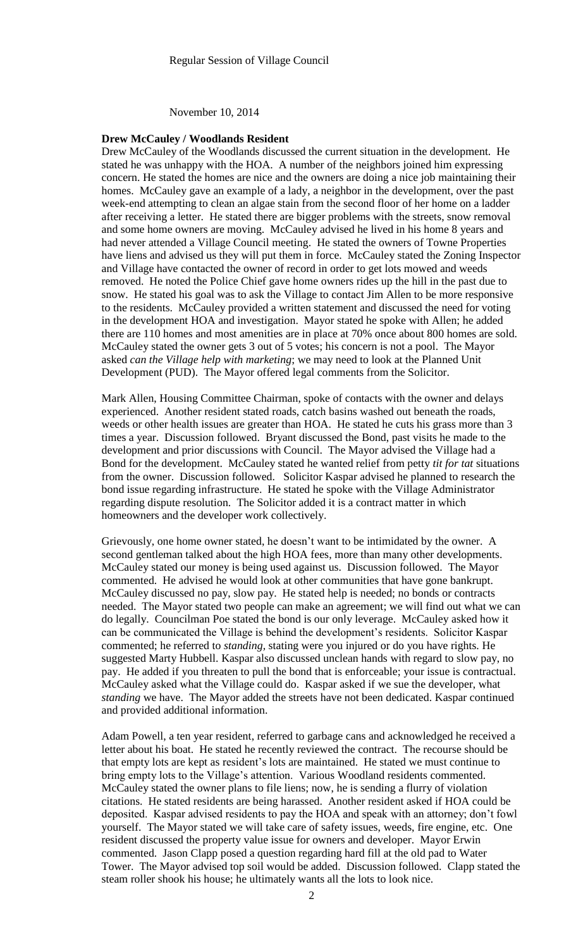November 10, 2014

#### **Drew McCauley / Woodlands Resident**

Drew McCauley of the Woodlands discussed the current situation in the development. He stated he was unhappy with the HOA. A number of the neighbors joined him expressing concern. He stated the homes are nice and the owners are doing a nice job maintaining their homes. McCauley gave an example of a lady, a neighbor in the development, over the past week-end attempting to clean an algae stain from the second floor of her home on a ladder after receiving a letter. He stated there are bigger problems with the streets, snow removal and some home owners are moving. McCauley advised he lived in his home 8 years and had never attended a Village Council meeting. He stated the owners of Towne Properties have liens and advised us they will put them in force. McCauley stated the Zoning Inspector and Village have contacted the owner of record in order to get lots mowed and weeds removed. He noted the Police Chief gave home owners rides up the hill in the past due to snow. He stated his goal was to ask the Village to contact Jim Allen to be more responsive to the residents. McCauley provided a written statement and discussed the need for voting in the development HOA and investigation. Mayor stated he spoke with Allen; he added there are 110 homes and most amenities are in place at 70% once about 800 homes are sold. McCauley stated the owner gets 3 out of 5 votes; his concern is not a pool. The Mayor asked *can the Village help with marketing*; we may need to look at the Planned Unit Development (PUD). The Mayor offered legal comments from the Solicitor.

Mark Allen, Housing Committee Chairman, spoke of contacts with the owner and delays experienced. Another resident stated roads, catch basins washed out beneath the roads, weeds or other health issues are greater than HOA. He stated he cuts his grass more than 3 times a year. Discussion followed. Bryant discussed the Bond, past visits he made to the development and prior discussions with Council. The Mayor advised the Village had a Bond for the development. McCauley stated he wanted relief from petty *tit for tat* situations from the owner. Discussion followed. Solicitor Kaspar advised he planned to research the bond issue regarding infrastructure. He stated he spoke with the Village Administrator regarding dispute resolution. The Solicitor added it is a contract matter in which homeowners and the developer work collectively.

Grievously, one home owner stated, he doesn't want to be intimidated by the owner. A second gentleman talked about the high HOA fees, more than many other developments. McCauley stated our money is being used against us. Discussion followed. The Mayor commented. He advised he would look at other communities that have gone bankrupt. McCauley discussed no pay, slow pay. He stated help is needed; no bonds or contracts needed. The Mayor stated two people can make an agreement; we will find out what we can do legally. Councilman Poe stated the bond is our only leverage. McCauley asked how it can be communicated the Village is behind the development's residents. Solicitor Kaspar commented; he referred to *standing,* stating were you injured or do you have rights. He suggested Marty Hubbell. Kaspar also discussed unclean hands with regard to slow pay, no pay. He added if you threaten to pull the bond that is enforceable; your issue is contractual. McCauley asked what the Village could do. Kaspar asked if we sue the developer, what *standing* we have. The Mayor added the streets have not been dedicated. Kaspar continued and provided additional information.

Adam Powell, a ten year resident, referred to garbage cans and acknowledged he received a letter about his boat. He stated he recently reviewed the contract. The recourse should be that empty lots are kept as resident's lots are maintained. He stated we must continue to bring empty lots to the Village's attention. Various Woodland residents commented. McCauley stated the owner plans to file liens; now, he is sending a flurry of violation citations. He stated residents are being harassed. Another resident asked if HOA could be deposited. Kaspar advised residents to pay the HOA and speak with an attorney; don't fowl yourself. The Mayor stated we will take care of safety issues, weeds, fire engine, etc. One resident discussed the property value issue for owners and developer. Mayor Erwin commented. Jason Clapp posed a question regarding hard fill at the old pad to Water Tower. The Mayor advised top soil would be added. Discussion followed. Clapp stated the steam roller shook his house; he ultimately wants all the lots to look nice.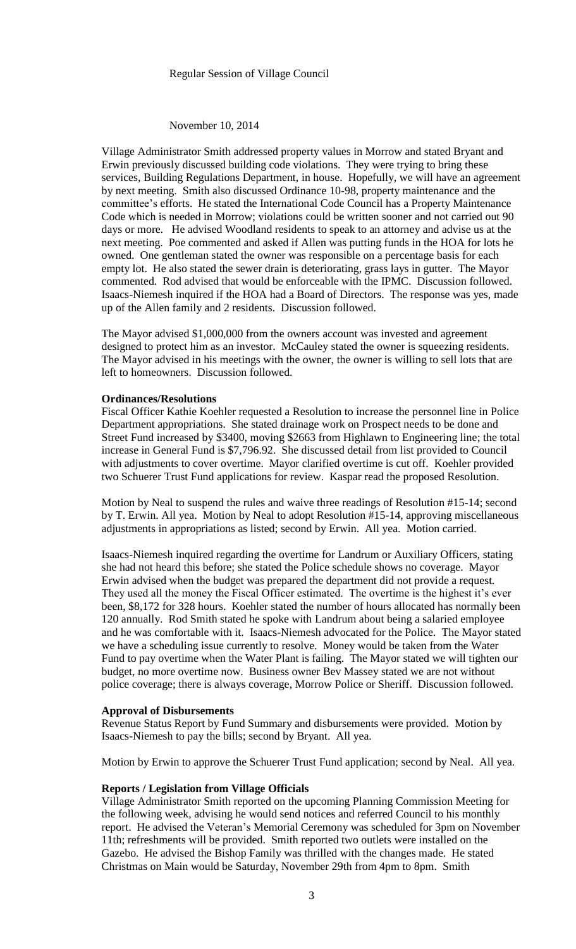## Regular Session of Village Council

## November 10, 2014

Village Administrator Smith addressed property values in Morrow and stated Bryant and Erwin previously discussed building code violations. They were trying to bring these services, Building Regulations Department, in house. Hopefully, we will have an agreement by next meeting. Smith also discussed Ordinance 10-98, property maintenance and the committee's efforts. He stated the International Code Council has a Property Maintenance Code which is needed in Morrow; violations could be written sooner and not carried out 90 days or more. He advised Woodland residents to speak to an attorney and advise us at the next meeting. Poe commented and asked if Allen was putting funds in the HOA for lots he owned. One gentleman stated the owner was responsible on a percentage basis for each empty lot. He also stated the sewer drain is deteriorating, grass lays in gutter. The Mayor commented. Rod advised that would be enforceable with the IPMC. Discussion followed. Isaacs-Niemesh inquired if the HOA had a Board of Directors. The response was yes, made up of the Allen family and 2 residents. Discussion followed.

The Mayor advised \$1,000,000 from the owners account was invested and agreement designed to protect him as an investor. McCauley stated the owner is squeezing residents. The Mayor advised in his meetings with the owner, the owner is willing to sell lots that are left to homeowners. Discussion followed.

# **Ordinances/Resolutions**

Fiscal Officer Kathie Koehler requested a Resolution to increase the personnel line in Police Department appropriations. She stated drainage work on Prospect needs to be done and Street Fund increased by \$3400, moving \$2663 from Highlawn to Engineering line; the total increase in General Fund is \$7,796.92. She discussed detail from list provided to Council with adjustments to cover overtime. Mayor clarified overtime is cut off. Koehler provided two Schuerer Trust Fund applications for review. Kaspar read the proposed Resolution.

Motion by Neal to suspend the rules and waive three readings of Resolution #15-14; second by T. Erwin. All yea. Motion by Neal to adopt Resolution #15-14, approving miscellaneous adjustments in appropriations as listed; second by Erwin. All yea. Motion carried.

Isaacs-Niemesh inquired regarding the overtime for Landrum or Auxiliary Officers, stating she had not heard this before; she stated the Police schedule shows no coverage. Mayor Erwin advised when the budget was prepared the department did not provide a request. They used all the money the Fiscal Officer estimated. The overtime is the highest it's ever been, \$8,172 for 328 hours. Koehler stated the number of hours allocated has normally been 120 annually. Rod Smith stated he spoke with Landrum about being a salaried employee and he was comfortable with it. Isaacs-Niemesh advocated for the Police. The Mayor stated we have a scheduling issue currently to resolve. Money would be taken from the Water Fund to pay overtime when the Water Plant is failing. The Mayor stated we will tighten our budget, no more overtime now. Business owner Bev Massey stated we are not without police coverage; there is always coverage, Morrow Police or Sheriff. Discussion followed.

#### **Approval of Disbursements**

Revenue Status Report by Fund Summary and disbursements were provided. Motion by Isaacs-Niemesh to pay the bills; second by Bryant. All yea.

Motion by Erwin to approve the Schuerer Trust Fund application; second by Neal. All yea.

## **Reports / Legislation from Village Officials**

Village Administrator Smith reported on the upcoming Planning Commission Meeting for the following week, advising he would send notices and referred Council to his monthly report. He advised the Veteran's Memorial Ceremony was scheduled for 3pm on November 11th; refreshments will be provided. Smith reported two outlets were installed on the Gazebo. He advised the Bishop Family was thrilled with the changes made. He stated Christmas on Main would be Saturday, November 29th from 4pm to 8pm. Smith